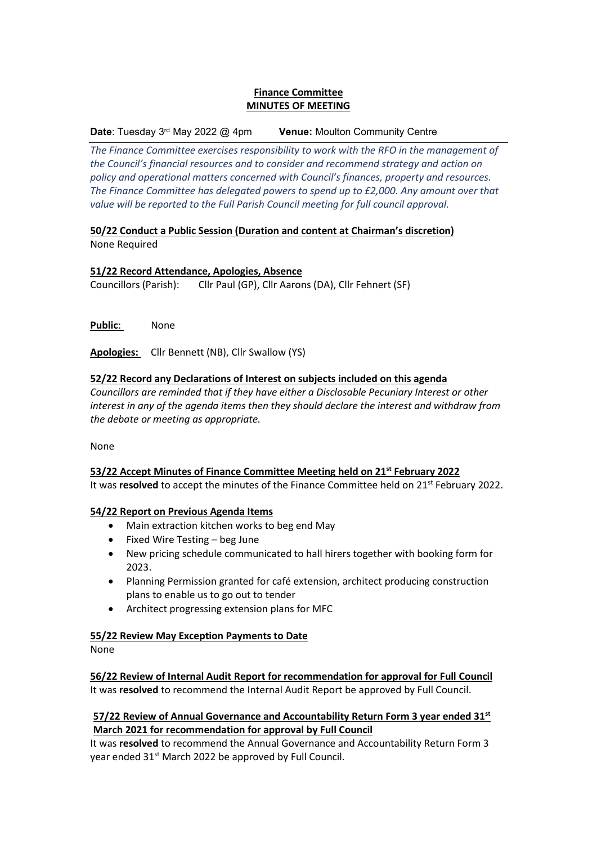# **Finance Committee MINUTES OF MEETING**

#### **Date:** Tuesday 3<sup>rd</sup> May 2022 @ 4pm **Venue: Moulton Community Centre**

*The Finance Committee exercises responsibility to work with the RFO in the management of the Council's financial resources and to consider and recommend strategy and action on policy and operational matters concerned with Council's finances, property and resources. The Finance Committee has delegated powers to spend up to £2,000. Any amount over that value will be reported to the Full Parish Council meeting for full council approval.* 

## **50/22 Conduct a Public Session (Duration and content at Chairman's discretion)** None Required

## **51/22 Record Attendance, Apologies, Absence**

Councillors (Parish): Cllr Paul (GP), Cllr Aarons (DA), Cllr Fehnert (SF)

**Public**: None

**Apologies:** Cllr Bennett (NB), Cllr Swallow (YS)

## **52/22 Record any Declarations of Interest on subjects included on this agenda**

*Councillors are reminded that if they have either a Disclosable Pecuniary Interest or other interest in any of the agenda items then they should declare the interest and withdraw from the debate or meeting as appropriate.*

None

## **53/22 Accept Minutes of Finance Committee Meeting held on 21st February 2022**

It was **resolved** to accept the minutes of the Finance Committee held on 21<sup>st</sup> February 2022.

## **54/22 Report on Previous Agenda Items**

- Main extraction kitchen works to beg end May
- Fixed Wire Testing beg June
- New pricing schedule communicated to hall hirers together with booking form for 2023.
- Planning Permission granted for café extension, architect producing construction plans to enable us to go out to tender
- Architect progressing extension plans for MFC

## **55/22 Review May Exception Payments to Date**

None

**56/22 Review of Internal Audit Report for recommendation for approval for Full Council**  It was **resolved** to recommend the Internal Audit Report be approved by Full Council.

# **57/22 Review of Annual Governance and Accountability Return Form 3 year ended 31st March 2021 for recommendation for approval by Full Council**

It was **resolved** to recommend the Annual Governance and Accountability Return Form 3 year ended 31<sup>st</sup> March 2022 be approved by Full Council.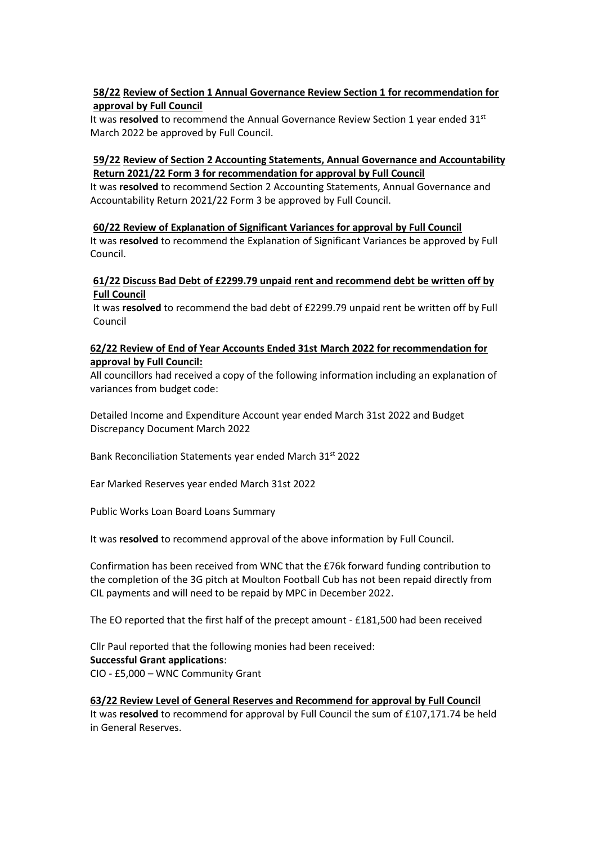# **58/22 Review of Section 1 Annual Governance Review Section 1 for recommendation for approval by Full Council**

It was **resolved** to recommend the Annual Governance Review Section 1 year ended 31<sup>st</sup> March 2022 be approved by Full Council.

# **59/22 Review of Section 2 Accounting Statements, Annual Governance and Accountability Return 2021/22 Form 3 for recommendation for approval by Full Council**

It was **resolved** to recommend Section 2 Accounting Statements, Annual Governance and Accountability Return 2021/22 Form 3 be approved by Full Council.

**60/22 Review of Explanation of Significant Variances for approval by Full Council**  It was **resolved** to recommend the Explanation of Significant Variances be approved by Full Council.

## **61/22 Discuss Bad Debt of £2299.79 unpaid rent and recommend debt be written off by Full Council**

It was **resolved** to recommend the bad debt of £2299.79 unpaid rent be written off by Full Council

## **62/22 Review of End of Year Accounts Ended 31st March 2022 for recommendation for approval by Full Council:**

All councillors had received a copy of the following information including an explanation of variances from budget code:

Detailed Income and Expenditure Account year ended March 31st 2022 and Budget Discrepancy Document March 2022

Bank Reconciliation Statements year ended March 31st 2022

Ear Marked Reserves year ended March 31st 2022

Public Works Loan Board Loans Summary

It was **resolved** to recommend approval of the above information by Full Council.

Confirmation has been received from WNC that the £76k forward funding contribution to the completion of the 3G pitch at Moulton Football Cub has not been repaid directly from CIL payments and will need to be repaid by MPC in December 2022.

The EO reported that the first half of the precept amount - £181,500 had been received

Cllr Paul reported that the following monies had been received: **Successful Grant applications**: CIO - £5,000 – WNC Community Grant

## **63/22 Review Level of General Reserves and Recommend for approval by Full Council**

It was **resolved** to recommend for approval by Full Council the sum of £107,171.74 be held in General Reserves.